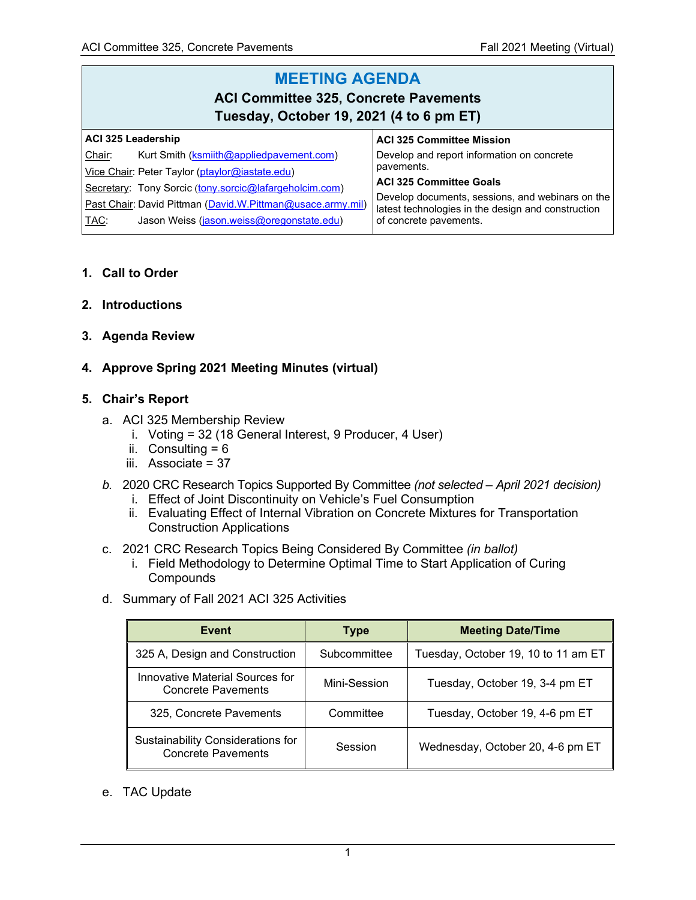#### **MEETING AGENDA ACI Committee 325, Concrete Pavements Tuesday, October 19, 2021 (4 to 6 pm ET) ACI 325 Leadership** Chair: Kurt Smith [\(ksmiith@appliedpavement.com\)](mailto:ksmiith@appliedpavement.com) Vice Chair: Peter Taylor [\(ptaylor@iastate.edu\)](mailto:ptaylor@iastate.edu) Secretary: Tony Sorcic ([tony.sorcic@lafargeholcim.com\)](mailto:tony.sorcic@lafargeholcim.com) Past Chair: David Pittman [\(David.W.Pittman@usace.army.mil\)](mailto:David.W.Pittman@usace.army.mil) TAC: Jason Weiss [\(jason.weiss@oregonstate.edu\)](mailto:jason.weiss@oregonstate.edu) **ACI 325 Committee Mission** Develop and report information on concrete pavements. **ACI 325 Committee Goals** Develop documents, sessions, and webinars on the latest technologies in the design and construction of concrete pavements.

- **1. Call to Order**
- **2. Introductions**
- **3. Agenda Review**
- **4. Approve Spring 2021 Meeting Minutes (virtual)**

### **5. Chair's Report**

- a. ACI 325 Membership Review
	- i. Voting = 32 (18 General Interest, 9 Producer, 4 User)
	- ii. Consulting  $= 6$
	- iii. Associate = 37
- *b.* 2020 CRC Research Topics Supported By Committee *(not selected – April 2021 decision)*
	- i. Effect of Joint Discontinuity on Vehicle's Fuel Consumption
	- ii. Evaluating Effect of Internal Vibration on Concrete Mixtures for Transportation Construction Applications
- c. 2021 CRC Research Topics Being Considered By Committee *(in ballot)*
	- i. Field Methodology to Determine Optimal Time to Start Application of Curing **Compounds**
- d. Summary of Fall 2021 ACI 325 Activities

| Event                                                          | <b>Type</b>  | <b>Meeting Date/Time</b>            |  |
|----------------------------------------------------------------|--------------|-------------------------------------|--|
| 325 A, Design and Construction                                 | Subcommittee | Tuesday, October 19, 10 to 11 am ET |  |
| Innovative Material Sources for<br><b>Concrete Pavements</b>   | Mini-Session | Tuesday, October 19, 3-4 pm ET      |  |
| 325, Concrete Pavements                                        | Committee    | Tuesday, October 19, 4-6 pm ET      |  |
| Sustainability Considerations for<br><b>Concrete Pavements</b> | Session      | Wednesday, October 20, 4-6 pm ET    |  |

e. TAC Update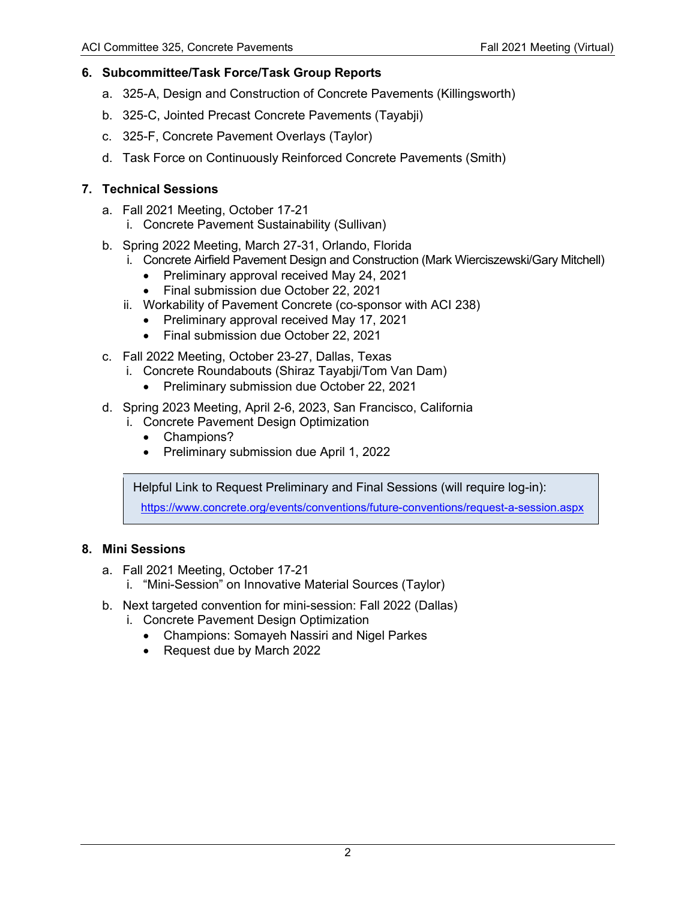# **6. Subcommittee/Task Force/Task Group Reports**

- a. 325-A, Design and Construction of Concrete Pavements (Killingsworth)
- b. 325-C, Jointed Precast Concrete Pavements (Tayabji)
- c. 325-F, Concrete Pavement Overlays (Taylor)
- d. Task Force on Continuously Reinforced Concrete Pavements (Smith)

# **7. Technical Sessions**

- a. Fall 2021 Meeting, October 17-21
	- i. Concrete Pavement Sustainability (Sullivan)
- b. Spring 2022 Meeting, March 27-31, Orlando, Florida
	- i. Concrete Airfield Pavement Design and Construction (Mark Wierciszewski/Gary Mitchell)
		- Preliminary approval received May 24, 2021
		- Final submission due October 22, 2021
	- ii. Workability of Pavement Concrete (co-sponsor with ACI 238)
		- Preliminary approval received May 17, 2021
		- Final submission due October 22, 2021
- c. Fall 2022 Meeting, October 23-27, Dallas, Texas
	- i. Concrete Roundabouts (Shiraz Tayabji/Tom Van Dam)
		- Preliminary submission due October 22, 2021
- d. Spring 2023 Meeting, April 2-6, 2023, San Francisco, California
	- i. Concrete Pavement Design Optimization
		- Champions?
		- Preliminary submission due April 1, 2022

Helpful Link to Request Preliminary and Final Sessions (will require log-in):

<https://www.concrete.org/events/conventions/future-conventions/request-a-session.aspx>

## **8. Mini Sessions**

- a. Fall 2021 Meeting, October 17-21
	- i. "Mini-Session" on Innovative Material Sources (Taylor)
- b. Next targeted convention for mini-session: Fall 2022 (Dallas)
	- i. Concrete Pavement Design Optimization
		- Champions: Somayeh Nassiri and Nigel Parkes
		- Request due by March 2022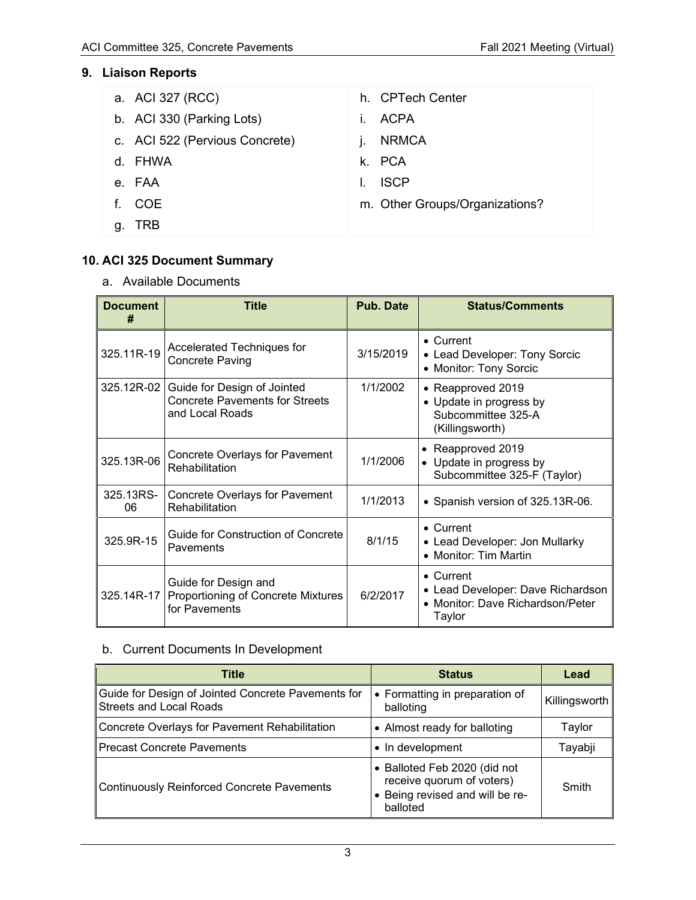# **9. Liaison Reports**

| a. ACI 327 (RCC)               | h. CPTech Center               |
|--------------------------------|--------------------------------|
| b. ACI 330 (Parking Lots)      | <b>ACPA</b><br>Ĺ.              |
| c. ACI 522 (Pervious Concrete) | <b>NRMCA</b>                   |
| d. FHWA                        | k. PCA                         |
| e. FAA                         | <b>ISCP</b>                    |
| f. COE                         | m. Other Groups/Organizations? |
| g. TRB                         |                                |

# **10. ACI 325 Document Summary**

a. Available Documents

| <b>Document</b><br>#                                                                   | Title                                                                                                            | <b>Pub. Date</b> | <b>Status/Comments</b>                                                                               |  |
|----------------------------------------------------------------------------------------|------------------------------------------------------------------------------------------------------------------|------------------|------------------------------------------------------------------------------------------------------|--|
| Accelerated Techniques for<br>325.11R-19<br><b>Concrete Paving</b>                     |                                                                                                                  | 3/15/2019        | • Current<br>• Lead Developer: Tony Sorcic<br>• Monitor: Tony Sorcic                                 |  |
|                                                                                        | 325.12R-02   Guide for Design of Jointed<br>1/1/2002<br><b>Concrete Pavements for Streets</b><br>and Local Roads |                  | • Reapproved 2019<br>• Update in progress by<br>Subcommittee 325-A<br>(Killingsworth)                |  |
| 325.13R-06                                                                             | <b>Concrete Overlays for Pavement</b><br>Rehabilitation                                                          | 1/1/2006         | • Reapproved 2019<br>• Update in progress by<br>Subcommittee 325-F (Taylor)                          |  |
| 325.13RS-<br>06                                                                        | <b>Concrete Overlays for Pavement</b><br>Rehabilitation                                                          | 1/1/2013         | • Spanish version of 325.13R-06.                                                                     |  |
| 325.9R-15                                                                              | <b>Guide for Construction of Concrete</b><br>Pavements                                                           | 8/1/15           | • Current<br>• Lead Developer: Jon Mullarky<br>• Monitor: Tim Martin                                 |  |
| Guide for Design and<br>325.14R-17 Proportioning of Concrete Mixtures<br>for Pavements |                                                                                                                  | 6/2/2017         | $\bullet$ Current<br>• Lead Developer: Dave Richardson<br>• Monitor: Dave Richardson/Peter<br>Taylor |  |

# b. Current Documents In Development

| Title                                                                                | <b>Status</b>                                                                                          | Lead          |
|--------------------------------------------------------------------------------------|--------------------------------------------------------------------------------------------------------|---------------|
| Guide for Design of Jointed Concrete Pavements for<br><b>Streets and Local Roads</b> | • Formatting in preparation of<br>balloting                                                            | Killingsworth |
| Concrete Overlays for Pavement Rehabilitation                                        | • Almost ready for balloting                                                                           | Taylor        |
| <b>Precast Concrete Pavements</b>                                                    | • In development                                                                                       | Tayabji       |
| <b>Continuously Reinforced Concrete Pavements</b>                                    | • Balloted Feb 2020 (did not<br>receive quorum of voters)<br>Being revised and will be re-<br>balloted | Smith         |